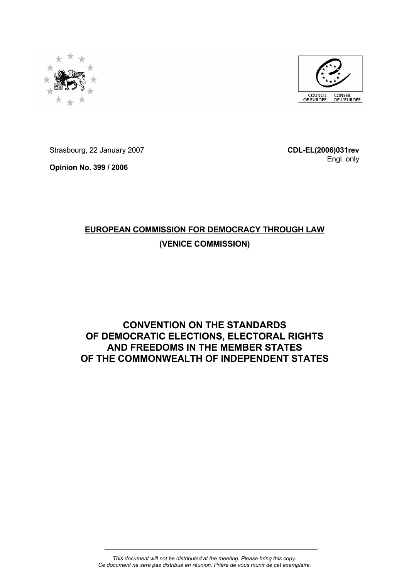



Strasbourg, 22 January 2007

**Opinion No. 399 / 2006** 

**CDL-EL(2006)031rev**  Engl. only

# **EUROPEAN COMMISSION FOR DEMOCRACY THROUGH LAW (VENICE COMMISSION)**

## **CONVENTION ON THE STANDARDS OF DEMOCRATIC ELECTIONS, ELECTORAL RIGHTS AND FREEDOMS IN THE MEMBER STATES OF THE COMMONWEALTH OF INDEPENDENT STATES**

*This document will not be distributed at the meeting. Please bring this copy. Ce document ne sera pas distribué en réunion. Prière de vous munir de cet exemplaire.*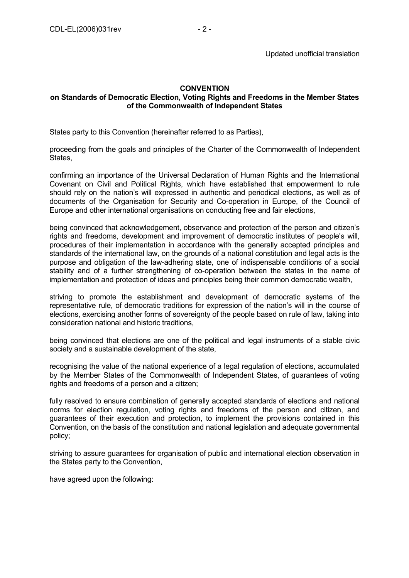## **CONVENTION**

## **on Standards of Democratic Election, Voting Rights and Freedoms in the Member States of the Commonwealth of Independent States**

States party to this Convention (hereinafter referred to as Parties),

proceeding from the goals and principles of the Charter of the Commonwealth of Independent States,

confirming an importance of the Universal Declaration of Human Rights and the International Covenant on Civil and Political Rights, which have established that empowerment to rule should rely on the nation's will expressed in authentic and periodical elections, as well as of documents of the Organisation for Security and Co-operation in Europe, of the Council of Europe and other international organisations on conducting free and fair elections,

being convinced that acknowledgement, observance and protection of the person and citizen's rights and freedoms, development and improvement of democratic institutes of people's will, procedures of their implementation in accordance with the generally accepted principles and standards of the international law, on the grounds of a national constitution and legal acts is the purpose and obligation of the law-adhering state, one of indispensable conditions of a social stability and of a further strengthening of co-operation between the states in the name of implementation and protection of ideas and principles being their common democratic wealth,

striving to promote the establishment and development of democratic systems of the representative rule, of democratic traditions for expression of the nation's will in the course of elections, exercising another forms of sovereignty of the people based on rule of law, taking into consideration national and historic traditions,

being convinced that elections are one of the political and legal instruments of a stable civic society and a sustainable development of the state,

recognising the value of the national experience of a legal regulation of elections, accumulated by the Member States of the Commonwealth of Independent States, of guarantees of voting rights and freedoms of a person and a citizen;

fully resolved to ensure combination of generally accepted standards of elections and national norms for election regulation, voting rights and freedoms of the person and citizen, and guarantees of their execution and protection, to implement the provisions contained in this Convention, on the basis of the constitution and national legislation and adequate governmental policy;

striving to assure guarantees for organisation of public and international election observation in the States party to the Convention,

have agreed upon the following: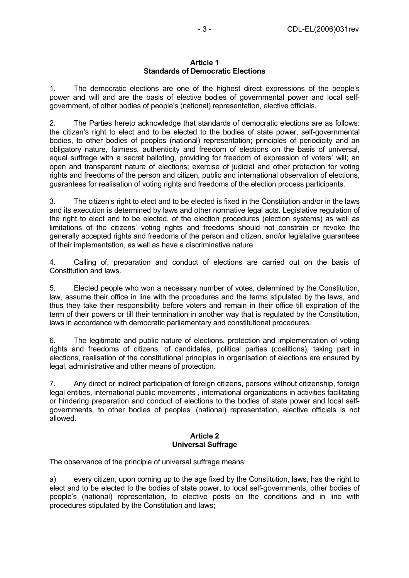#### **Article 1 Standards of Democratic Elections**

1. The democratic elections are one of the highest direct expressions of the people's power and will and are the basis of elective bodies of governmental power and local selfgovernment, of other bodies of people's (national) representation, elective officials.

2. The Parties hereto acknowledge that standards of democratic elections are as follows: the citizen's right to elect and to be elected to the bodies of state power, self-governmental bodies, to other bodies of peoples (national) representation; principles of periodicity and an obligatory nature, fairness, authenticity and freedom of elections on the basis of universal, equal suffrage with a secret balloting, providing for freedom of expression of voters' will; an open and transparent nature of elections; exercise of judicial and other protection for voting rights and freedoms of the person and citizen, public and international observation of elections, guarantees for realisation of voting rights and freedoms of the election process participants.

3. The citizen's right to elect and to be elected is fixed in the Constitution and/or in the laws and its execution is determined by laws and other normative legal acts. Legislative regulation of the right to elect and to be elected, of the election procedures (election systems) as well as limitations of the citizens' voting rights and freedoms should not constrain or revoke the generally accepted rights and freedoms of the person and citizen, and/or legislative guarantees of their implementation, as well as have a discriminative nature.

4. Calling of, preparation and conduct of elections are carried out on the basis of Constitution and laws.

5. Elected people who won a necessary number of votes, determined by the Constitution, law, assume their office in line with the procedures and the terms stipulated by the laws, and thus they take their responsibility before voters and remain in their office till expiration of the term of their powers or till their termination in another way that is regulated by the Constitution, laws in accordance with democratic parliamentary and constitutional procedures.

6. The legitimate and public nature of elections, protection and implementation of voting rights and freedoms of citizens, of candidates, political parties (coalitions), taking part in elections, realisation of the constitutional principles in organisation of elections are ensured by legal, administrative and other means of protection.

7. Any direct or indirect participation of foreign citizens, persons without citizenship, foreign legal entities, international public movements , international organizations in activities facilitating or hindering preparation and conduct of elections to the bodies of state power and local selfgovernments, to other bodies of peoples' (national) representation, elective officials is not allowed.

## **Article 2 Universal Suffrage**

The observance of the principle of universal suffrage means:

a) every citizen, upon coming up to the age fixed by the Constitution, laws, has the right to elect and to be elected to the bodies of state power, to local self-governments, other bodies of people's (national) representation, to elective posts on the conditions and in line with procedures stipulated by the Constitution and laws;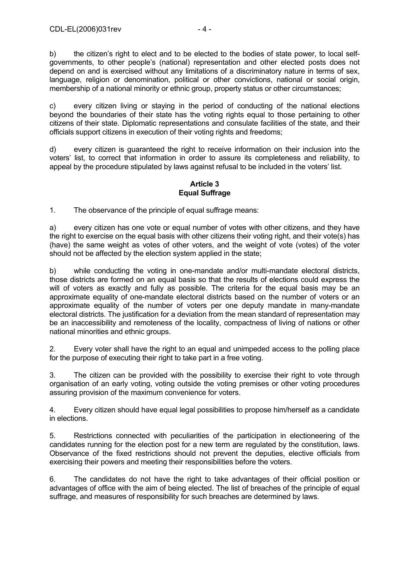b) the citizen's right to elect and to be elected to the bodies of state power, to local selfgovernments, to other people's (national) representation and other elected posts does not depend on and is exercised without any limitations of a discriminatory nature in terms of sex, language, religion or denomination, political or other convictions, national or social origin, membership of a national minority or ethnic group, property status or other circumstances;

c) every citizen living or staying in the period of conducting of the national elections beyond the boundaries of their state has the voting rights equal to those pertaining to other citizens of their state. Diplomatic representations and consulate facilities of the state, and their officials support citizens in execution of their voting rights and freedoms;

d) every citizen is guaranteed the right to receive information on their inclusion into the voters' list, to correct that information in order to assure its completeness and reliability, to appeal by the procedure stipulated by laws against refusal to be included in the voters' list.

## **Article 3 Equal Suffrage**

1. The observance of the principle of equal suffrage means:

a) every citizen has one vote or equal number of votes with other citizens, and they have the right to exercise on the equal basis with other citizens their voting right, and their vote(s) has (have) the same weight as votes of other voters, and the weight of vote (votes) of the voter should not be affected by the election system applied in the state;

b) while conducting the voting in one-mandate and/or multi-mandate electoral districts, those districts are formed on an equal basis so that the results of elections could express the will of voters as exactly and fully as possible. The criteria for the equal basis may be an approximate equality of one-mandate electoral districts based on the number of voters or an approximate equality of the number of voters per one deputy mandate in many-mandate electoral districts. The justification for a deviation from the mean standard of representation may be an inaccessibility and remoteness of the locality, compactness of living of nations or other national minorities and ethnic groups.

2. Every voter shall have the right to an equal and unimpeded access to the polling place for the purpose of executing their right to take part in a free voting.

3. The citizen can be provided with the possibility to exercise their right to vote through organisation of an early voting, voting outside the voting premises or other voting procedures assuring provision of the maximum convenience for voters.

4. Every citizen should have equal legal possibilities to propose him/herself as a candidate in elections.

5. Restrictions connected with peculiarities of the participation in electioneering of the candidates running for the election post for a new term are regulated by the constitution, laws. Observance of the fixed restrictions should not prevent the deputies, elective officials from exercising their powers and meeting their responsibilities before the voters.

6. The candidates do not have the right to take advantages of their official position or advantages of office with the aim of being elected. The list of breaches of the principle of equal suffrage, and measures of responsibility for such breaches are determined by laws.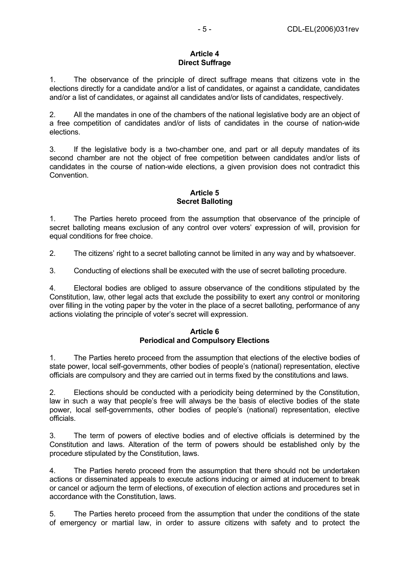## **Article 4 Direct Suffrage**

1. The observance of the principle of direct suffrage means that citizens vote in the elections directly for a candidate and/or a list of candidates, or against a candidate, candidates and/or a list of candidates, or against all candidates and/or lists of candidates, respectively.

2. All the mandates in one of the chambers of the national legislative body are an object of a free competition of candidates and/or of lists of candidates in the course of nation-wide elections.

3. If the legislative body is a two-chamber one, and part or all deputy mandates of its second chamber are not the object of free competition between candidates and/or lists of candidates in the course of nation-wide elections, a given provision does not contradict this Convention.

## **Article 5 Secret Balloting**

1. The Parties hereto proceed from the assumption that observance of the principle of secret balloting means exclusion of any control over voters' expression of will, provision for equal conditions for free choice.

2. The citizens' right to a secret balloting cannot be limited in any way and by whatsoever.

3. Conducting of elections shall be executed with the use of secret balloting procedure.

4. Electoral bodies are obliged to assure observance of the conditions stipulated by the Constitution, law, other legal acts that exclude the possibility to exert any control or monitoring over filling in the voting paper by the voter in the place of a secret balloting, performance of any actions violating the principle of voter's secret will expression.

## **Article 6 Periodical and Compulsory Elections**

1. The Parties hereto proceed from the assumption that elections of the elective bodies of state power, local self-governments, other bodies of people's (national) representation, elective officials are compulsory and they are carried out in terms fixed by the constitutions and laws.

2. Elections should be conducted with a periodicity being determined by the Constitution, law in such a way that people's free will always be the basis of elective bodies of the state power, local self-governments, other bodies of people's (national) representation, elective officials.

3. The term of powers of elective bodies and of elective officials is determined by the Constitution and laws. Alteration of the term of powers should be established only by the procedure stipulated by the Constitution, laws.

4. The Parties hereto proceed from the assumption that there should not be undertaken actions or disseminated appeals to execute actions inducing or aimed at inducement to break or cancel or adjourn the term of elections, of execution of election actions and procedures set in accordance with the Constitution, laws.

5. The Parties hereto proceed from the assumption that under the conditions of the state of emergency or martial law, in order to assure citizens with safety and to protect the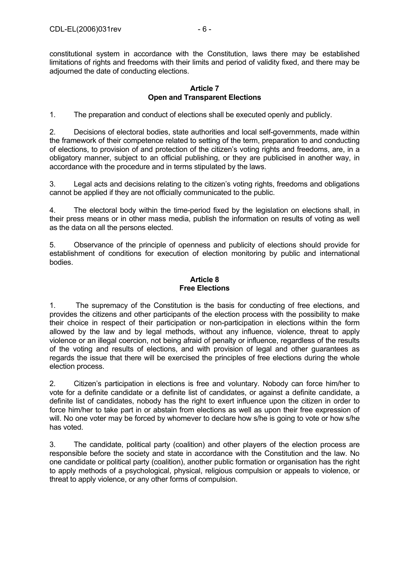constitutional system in accordance with the Constitution, laws there may be established limitations of rights and freedoms with their limits and period of validity fixed, and there may be adjourned the date of conducting elections.

#### **Article 7 Open and Transparent Elections**

1. The preparation and conduct of elections shall be executed openly and publicly.

2. Decisions of electoral bodies, state authorities and local self-governments, made within the framework of their competence related to setting of the term, preparation to and conducting of elections, to provision of and protection of the citizen's voting rights and freedoms, are, in a obligatory manner, subject to an official publishing, or they are publicised in another way, in accordance with the procedure and in terms stipulated by the laws.

3. Legal acts and decisions relating to the citizen's voting rights, freedoms and obligations cannot be applied if they are not officially communicated to the public.

4. The electoral body within the time-period fixed by the legislation on elections shall, in their press means or in other mass media, publish the information on results of voting as well as the data on all the persons elected.

5. Observance of the principle of openness and publicity of elections should provide for establishment of conditions for execution of election monitoring by public and international bodies.

## **Article 8 Free Elections**

1. The supremacy of the Constitution is the basis for conducting of free elections, and provides the citizens and other participants of the election process with the possibility to make their choice in respect of their participation or non-participation in elections within the form allowed by the law and by legal methods, without any influence, violence, threat to apply violence or an illegal coercion, not being afraid of penalty or influence, regardless of the results of the voting and results of elections, and with provision of legal and other guarantees as regards the issue that there will be exercised the principles of free elections during the whole election process.

2. Citizen's participation in elections is free and voluntary. Nobody can force him/her to vote for a definite candidate or a definite list of candidates, or against a definite candidate, a definite list of candidates, nobody has the right to exert influence upon the citizen in order to force him/her to take part in or abstain from elections as well as upon their free expression of will. No one voter may be forced by whomever to declare how s/he is going to vote or how s/he has voted.

3. The candidate, political party (coalition) and other players of the election process are responsible before the society and state in accordance with the Constitution and the law. No one candidate or political party (coalition), another public formation or organisation has the right to apply methods of a psychological, physical, religious compulsion or appeals to violence, or threat to apply violence, or any other forms of compulsion.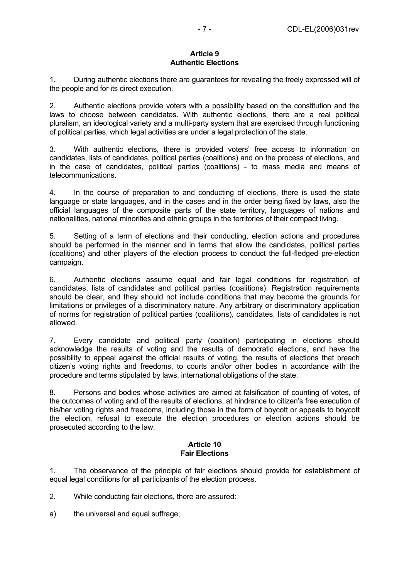## **Article 9 Authentic Elections**

1. During authentic elections there are guarantees for revealing the freely expressed will of the people and for its direct execution.

2. Authentic elections provide voters with a possibility based on the constitution and the laws to choose between candidates. With authentic elections, there are a real political pluralism, an ideological variety and a multi-party system that are exercised through functioning of political parties, which legal activities are under a legal protection of the state.

3. With authentic elections, there is provided voters' free access to information on candidates, lists of candidates, political parties (coalitions) and on the process of elections, and in the case of candidates, political parties (coalitions) - to mass media and means of telecommunications.

4. In the course of preparation to and conducting of elections, there is used the state language or state languages, and in the cases and in the order being fixed by laws, also the official languages of the composite parts of the state territory, languages of nations and nationalities, national minorities and ethnic groups in the territories of their compact living.

5. Setting of a term of elections and their conducting, election actions and procedures should be performed in the manner and in terms that allow the candidates, political parties (coalitions) and other players of the election process to conduct the full-fledged pre-election campaign.

6. Authentic elections assume equal and fair legal conditions for registration of candidates, lists of candidates and political parties (coalitions). Registration requirements should be clear, and they should not include conditions that may become the grounds for limitations or privileges of a discriminatory nature. Any arbitrary or discriminatory application of norms for registration of political parties (coalitions), candidates, lists of candidates is not allowed.

7. Every candidate and political party (coalition) participating in elections should acknowledge the results of voting and the results of democratic elections, and have the possibility to appeal against the official results of voting, the results of elections that breach citizen's voting rights and freedoms, to courts and/or other bodies in accordance with the procedure and terms stipulated by laws, international obligations of the state.

8. Persons and bodies whose activities are aimed at falsification of counting of votes, of the outcomes of voting and of the results of elections, at hindrance to citizen's free execution of his/her voting rights and freedoms, including those in the form of boycott or appeals to boycott the election, refusal to execute the election procedures or election actions should be prosecuted according to the law.

## **Article 10 Fair Elections**

1. The observance of the principle of fair elections should provide for establishment of equal legal conditions for all participants of the election process.

2. While conducting fair elections, there are assured:

a) the universal and equal suffrage;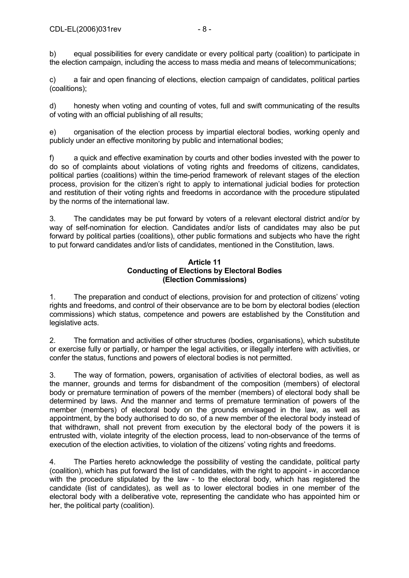b) equal possibilities for every candidate or every political party (coalition) to participate in the election campaign, including the access to mass media and means of telecommunications;

c) a fair and open financing of elections, election campaign of candidates, political parties (coalitions);

d) honesty when voting and counting of votes, full and swift communicating of the results of voting with an official publishing of all results;

e) organisation of the election process by impartial electoral bodies, working openly and publicly under an effective monitoring by public and international bodies;

f) a quick and effective examination by courts and other bodies invested with the power to do so of complaints about violations of voting rights and freedoms of citizens, candidates, political parties (coalitions) within the time-period framework of relevant stages of the election process, provision for the citizen's right to apply to international judicial bodies for protection and restitution of their voting rights and freedoms in accordance with the procedure stipulated by the norms of the international law.

3. The candidates may be put forward by voters of a relevant electoral district and/or by way of self-nomination for election. Candidates and/or lists of candidates may also be put forward by political parties (coalitions), other public formations and subjects who have the right to put forward candidates and/or lists of candidates, mentioned in the Constitution, laws.

#### **Article 11 Conducting of Elections by Electoral Bodies (Election Commissions)**

1. The preparation and conduct of elections, provision for and protection of citizens' voting rights and freedoms, and control of their observance are to be born by electoral bodies (election commissions) which status, competence and powers are established by the Constitution and legislative acts.

2. The formation and activities of other structures (bodies, organisations), which substitute or exercise fully or partially, or hamper the legal activities, or illegally interfere with activities, or confer the status, functions and powers of electoral bodies is not permitted.

3. The way of formation, powers, organisation of activities of electoral bodies, as well as the manner, grounds and terms for disbandment of the composition (members) of electoral body or premature termination of powers of the member (members) of electoral body shall be determined by laws. And the manner and terms of premature termination of powers of the member (members) of electoral body on the grounds envisaged in the law, as well as appointment, by the body authorised to do so, of a new member of the electoral body instead of that withdrawn, shall not prevent from execution by the electoral body of the powers it is entrusted with, violate integrity of the election process, lead to non-observance of the terms of execution of the election activities, to violation of the citizens' voting rights and freedoms.

4. The Parties hereto acknowledge the possibility of vesting the candidate, political party (coalition), which has put forward the list of candidates, with the right to appoint - in accordance with the procedure stipulated by the law - to the electoral body, which has registered the candidate (list of candidates), as well as to lower electoral bodies in one member of the electoral body with a deliberative vote, representing the candidate who has appointed him or her, the political party (coalition).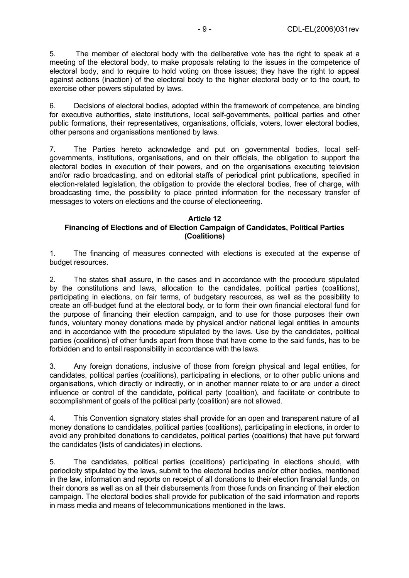5. The member of electoral body with the deliberative vote has the right to speak at a meeting of the electoral body, to make proposals relating to the issues in the competence of electoral body, and to require to hold voting on those issues; they have the right to appeal against actions (inaction) of the electoral body to the higher electoral body or to the court, to exercise other powers stipulated by laws.

6. Decisions of electoral bodies, adopted within the framework of competence, are binding for executive authorities, state institutions, local self-governments, political parties and other public formations, their representatives, organisations, officials, voters, lower electoral bodies, other persons and organisations mentioned by laws.

7. The Parties hereto acknowledge and put on governmental bodies, local selfgovernments, institutions, organisations, and on their officials, the obligation to support the electoral bodies in execution of their powers, and on the organisations executing television and/or radio broadcasting, and on editorial staffs of periodical print publications, specified in election-related legislation, the obligation to provide the electoral bodies, free of charge, with broadcasting time, the possibility to place printed information for the necessary transfer of messages to voters on elections and the course of electioneering.

## **Article 12 Financing of Elections and of Election Campaign of Candidates, Political Parties (Coalitions)**

1. The financing of measures connected with elections is executed at the expense of budget resources.

2. The states shall assure, in the cases and in accordance with the procedure stipulated by the constitutions and laws, allocation to the candidates, political parties (coalitions), participating in elections, on fair terms, of budgetary resources, as well as the possibility to create an off-budget fund at the electoral body, or to form their own financial electoral fund for the purpose of financing their election campaign, and to use for those purposes their own funds, voluntary money donations made by physical and/or national legal entities in amounts and in accordance with the procedure stipulated by the laws. Use by the candidates, political parties (coalitions) of other funds apart from those that have come to the said funds, has to be forbidden and to entail responsibility in accordance with the laws.

3. Any foreign donations, inclusive of those from foreign physical and legal entities, for candidates, political parties (coalitions), participating in elections, or to other public unions and organisations, which directly or indirectly, or in another manner relate to or are under a direct influence or control of the candidate, political party (coalition), and facilitate or contribute to accomplishment of goals of the political party (coalition) are not allowed.

4. This Convention signatory states shall provide for an open and transparent nature of all money donations to candidates, political parties (coalitions), participating in elections, in order to avoid any prohibited donations to candidates, political parties (coalitions) that have put forward the candidates (lists of candidates) in elections.

5. The candidates, political parties (coalitions) participating in elections should, with periodicity stipulated by the laws, submit to the electoral bodies and/or other bodies, mentioned in the law, information and reports on receipt of all donations to their election financial funds, on their donors as well as on all their disbursements from those funds on financing of their election campaign. The electoral bodies shall provide for publication of the said information and reports in mass media and means of telecommunications mentioned in the laws.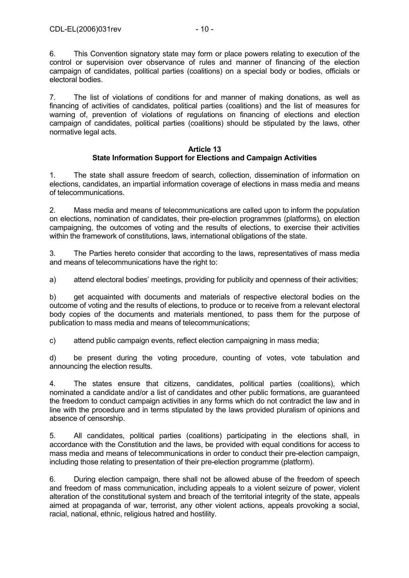control or supervision over observance of rules and manner of financing of the election campaign of candidates, political parties (coalitions) on a special body or bodies, officials or electoral bodies.

7. The list of violations of conditions for and manner of making donations, as well as financing of activities of candidates, political parties (coalitions) and the list of measures for warning of, prevention of violations of regulations on financing of elections and election campaign of candidates, political parties (coalitions) should be stipulated by the laws, other normative legal acts.

## **Article 13 State Information Support for Elections and Campaign Activities**

1. The state shall assure freedom of search, collection, dissemination of information on elections, candidates, an impartial information coverage of elections in mass media and means of telecommunications.

2. Mass media and means of telecommunications are called upon to inform the population on elections, nomination of candidates, their pre-election programmes (platforms), on election campaigning, the outcomes of voting and the results of elections, to exercise their activities within the framework of constitutions, laws, international obligations of the state.

3. The Parties hereto consider that according to the laws, representatives of mass media and means of telecommunications have the right to:

a) attend electoral bodies' meetings, providing for publicity and openness of their activities;

b) get acquainted with documents and materials of respective electoral bodies on the outcome of voting and the results of elections, to produce or to receive from a relevant electoral body copies of the documents and materials mentioned, to pass them for the purpose of publication to mass media and means of telecommunications;

c) attend public campaign events, reflect election campaigning in mass media;

d) be present during the voting procedure, counting of votes, vote tabulation and announcing the election results.

4. The states ensure that citizens, candidates, political parties (coalitions), which nominated a candidate and/or a list of candidates and other public formations, are guaranteed the freedom to conduct campaign activities in any forms which do not contradict the law and in line with the procedure and in terms stipulated by the laws provided pluralism of opinions and absence of censorship.

5. All candidates, political parties (coalitions) participating in the elections shall, in accordance with the Constitution and the laws, be provided with equal conditions for access to mass media and means of telecommunications in order to conduct their pre-election campaign, including those relating to presentation of their pre-election programme (platform).

6. During election campaign, there shall not be allowed abuse of the freedom of speech and freedom of mass communication, including appeals to a violent seizure of power, violent alteration of the constitutional system and breach of the territorial integrity of the state, appeals aimed at propaganda of war, terrorist, any other violent actions, appeals provoking a social, racial, national, ethnic, religious hatred and hostility.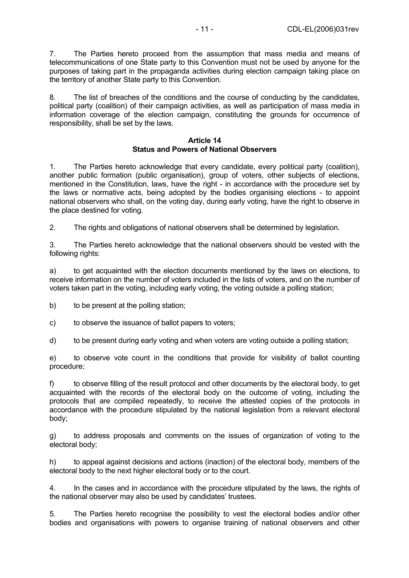7. The Parties hereto proceed from the assumption that mass media and means of telecommunications of one State party to this Convention must not be used by anyone for the purposes of taking part in the propaganda activities during election campaign taking place on the territory of another State party to this Convention.

8. The list of breaches of the conditions and the course of conducting by the candidates, political party (coalition) of their campaign activities, as well as participation of mass media in information coverage of the election campaign, constituting the grounds for occurrence of responsibility, shall be set by the laws.

#### **Article 14 Status and Powers of National Observers**

1. The Parties hereto acknowledge that every candidate, every political party (coalition), another public formation (public organisation), group of voters, other subjects of elections, mentioned in the Constitution, laws, have the right - in accordance with the procedure set by the laws or normative acts, being adopted by the bodies organising elections - to appoint national observers who shall, on the voting day, during early voting, have the right to observe in the place destined for voting.

2. The rights and obligations of national observers shall be determined by legislation.

3. The Parties hereto acknowledge that the national observers should be vested with the following rights:

a) to get acquainted with the election documents mentioned by the laws on elections, to receive information on the number of voters included in the lists of voters, and on the number of voters taken part in the voting, including early voting, the voting outside a polling station;

b) to be present at the polling station;

c) to observe the issuance of ballot papers to voters;

d) to be present during early voting and when voters are voting outside a polling station;

e) to observe vote count in the conditions that provide for visibility of ballot counting procedure;

f) to observe filling of the result protocol and other documents by the electoral body, to get acquainted with the records of the electoral body on the outcome of voting, including the protocols that are compiled repeatedly, to receive the attested copies of the protocols in accordance with the procedure stipulated by the national legislation from a relevant electoral body;

g) to address proposals and comments on the issues of organization of voting to the electoral body;

h) to appeal against decisions and actions (inaction) of the electoral body, members of the electoral body to the next higher electoral body or to the court.

4. In the cases and in accordance with the procedure stipulated by the laws, the rights of the national observer may also be used by candidates' trustees.

5. The Parties hereto recognise the possibility to vest the electoral bodies and/or other bodies and organisations with powers to organise training of national observers and other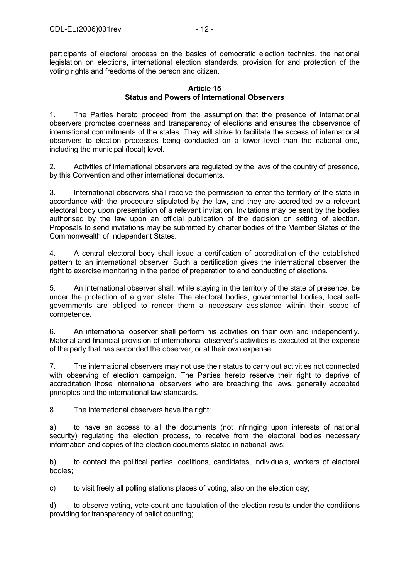participants of electoral process on the basics of democratic election technics, the national legislation on elections, international election standards, provision for and protection of the voting rights and freedoms of the person and citizen.

## **Article 15 Status and Powers of International Observers**

1. The Parties hereto proceed from the assumption that the presence of international observers promotes openness and transparency of elections and ensures the observance of international commitments of the states. They will strive to facilitate the access of international observers to election processes being conducted on a lower level than the national one, including the municipal (local) level.

2. Activities of international observers are regulated by the laws of the country of presence, by this Convention and other international documents.

3. International observers shall receive the permission to enter the territory of the state in accordance with the procedure stipulated by the law, and they are accredited by a relevant electoral body upon presentation of a relevant invitation. Invitations may be sent by the bodies authorised by the law upon an official publication of the decision on setting of election. Proposals to send invitations may be submitted by charter bodies of the Member States of the Commonwealth of Independent States.

4. A central electoral body shall issue a certification of accreditation of the established pattern to an international observer. Such a certification gives the international observer the right to exercise monitoring in the period of preparation to and conducting of elections.

5. An international observer shall, while staying in the territory of the state of presence, be under the protection of a given state. The electoral bodies, governmental bodies, local selfgovernments are obliged to render them a necessary assistance within their scope of competence.

6. An international observer shall perform his activities on their own and independently. Material and financial provision of international observer's activities is executed at the expense of the party that has seconded the observer, or at their own expense.

7. The international observers may not use their status to carry out activities not connected with observing of election campaign. The Parties hereto reserve their right to deprive of accreditation those international observers who are breaching the laws, generally accepted principles and the international law standards.

8. The international observers have the right:

a) to have an access to all the documents (not infringing upon interests of national security) regulating the election process, to receive from the electoral bodies necessary information and copies of the election documents stated in national laws;

b) to contact the political parties, coalitions, candidates, individuals, workers of electoral bodies;

c) to visit freely all polling stations places of voting, also on the election day;

d) to observe voting, vote count and tabulation of the election results under the conditions providing for transparency of ballot counting;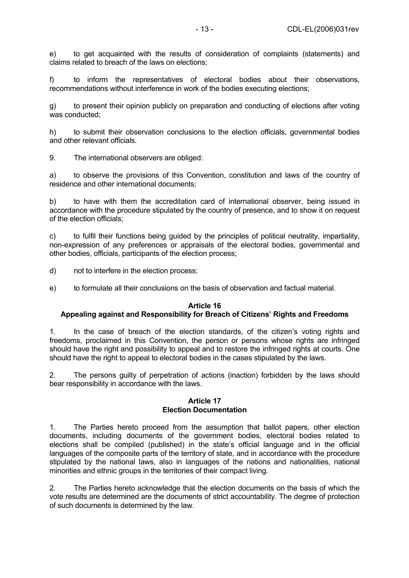e) to get acquainted with the results of consideration of complaints (statements) and claims related to breach of the laws on elections;

f) to inform the representatives of electoral bodies about their observations, recommendations without interference in work of the bodies executing elections;

g) to present their opinion publicly on preparation and conducting of elections after voting was conducted;

h) to submit their observation conclusions to the election officials, governmental bodies and other relevant officials.

9. The international observers are obliged:

a) to observe the provisions of this Convention, constitution and laws of the country of residence and other international documents;

b) to have with them the accreditation card of international observer, being issued in accordance with the procedure stipulated by the country of presence, and to show it on request of the election officials;

c) to fulfil their functions being guided by the principles of political neutrality, impartiality, non-expression of any preferences or appraisals of the electoral bodies, governmental and other bodies, officials, participants of the election process;

d) not to interfere in the election process;

e) to formulate all their conclusions on the basis of observation and factual material.

#### **Article 16**

#### **Appealing against and Responsibility for Breach of Citizens' Rights and Freedoms**

1. In the case of breach of the election standards, of the citizen's voting rights and freedoms, proclaimed in this Convention, the person or persons whose rights are infringed should have the right and possibility to appeal and to restore the infringed rights at courts. One should have the right to appeal to electoral bodies in the cases stipulated by the laws.

2. The persons guilty of perpetration of actions (inaction) forbidden by the laws should bear responsibility in accordance with the laws.

#### **Article 17 Election Documentation**

1. The Parties hereto proceed from the assumption that ballot papers, other election documents, including documents of the government bodies, electoral bodies related to elections shall be compiled (published) in the state's official language and in the official languages of the composite parts of the territory of state, and in accordance with the procedure stipulated by the national laws, also in languages of the nations and nationalities, national minorities and ethnic groups in the territories of their compact living.

2. The Parties hereto acknowledge that the election documents on the basis of which the vote results are determined are the documents of strict accountability. The degree of protection of such documents is determined by the law.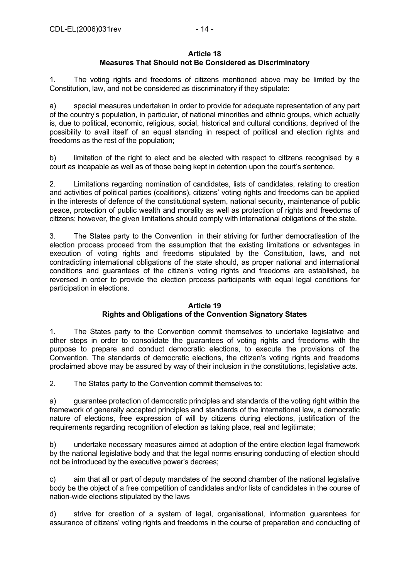#### **Article 18 Measures That Should not Be Considered as Discriminatory**

1. The voting rights and freedoms of citizens mentioned above may be limited by the Constitution, law, and not be considered as discriminatory if they stipulate:

a) special measures undertaken in order to provide for adequate representation of any part of the country's population, in particular, of national minorities and ethnic groups, which actually is, due to political, economic, religious, social, historical and cultural conditions, deprived of the possibility to avail itself of an equal standing in respect of political and election rights and freedoms as the rest of the population;

b) limitation of the right to elect and be elected with respect to citizens recognised by a court as incapable as well as of those being kept in detention upon the court's sentence.

2. Limitations regarding nomination of candidates, lists of candidates, relating to creation and activities of political parties (coalitions), citizens' voting rights and freedoms can be applied in the interests of defence of the constitutional system, national security, maintenance of public peace, protection of public wealth and morality as well as protection of rights and freedoms of citizens; however, the given limitations should comply with international obligations of the state.

3. The States party to the Convention in their striving for further democratisation of the election process proceed from the assumption that the existing limitations or advantages in execution of voting rights and freedoms stipulated by the Constitution, laws, and not contradicting international obligations of the state should, as proper national and international conditions and guarantees of the citizen's voting rights and freedoms are established, be reversed in order to provide the election process participants with equal legal conditions for participation in elections.

#### **Article 19**

## **Rights and Obligations of the Convention Signatory States**

1. The States party to the Convention commit themselves to undertake legislative and other steps in order to consolidate the guarantees of voting rights and freedoms with the purpose to prepare and conduct democratic elections, to execute the provisions of the Convention. The standards of democratic elections, the citizen's voting rights and freedoms proclaimed above may be assured by way of their inclusion in the constitutions, legislative acts.

2. The States party to the Convention commit themselves to:

a) guarantee protection of democratic principles and standards of the voting right within the framework of generally accepted principles and standards of the international law, a democratic nature of elections, free expression of will by citizens during elections, justification of the requirements regarding recognition of election as taking place, real and legitimate;

b) undertake necessary measures aimed at adoption of the entire election legal framework by the national legislative body and that the legal norms ensuring conducting of election should not be introduced by the executive power's decrees;

c) aim that all or part of deputy mandates of the second chamber of the national legislative body be the object of a free competition of candidates and/or lists of candidates in the course of nation-wide elections stipulated by the laws

d) strive for creation of a system of legal, organisational, information guarantees for assurance of citizens' voting rights and freedoms in the course of preparation and conducting of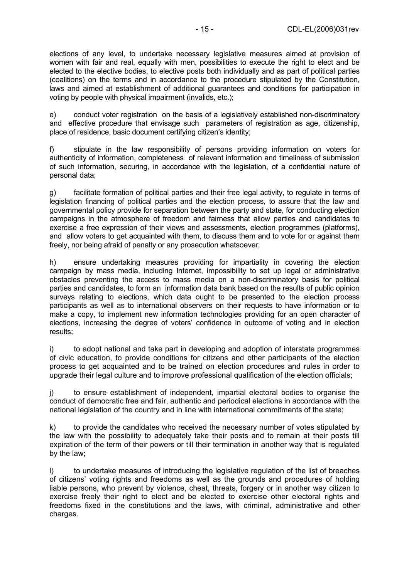elections of any level, to undertake necessary legislative measures aimed at provision of women with fair and real, equally with men, possibilities to execute the right to elect and be elected to the elective bodies, to elective posts both individually and as part of political parties (coalitions) on the terms and in accordance to the procedure stipulated by the Constitution, laws and aimed at establishment of additional guarantees and conditions for participation in voting by people with physical impairment (invalids, etc.);

e) conduct voter registration on the basis of a legislatively established non-discriminatory and effective procedure that envisage such parameters of registration as age, citizenship, place of residence, basic document certifying citizen's identity;

f) stipulate in the law responsibility of persons providing information on voters for authenticity of information, completeness of relevant information and timeliness of submission of such information, securing, in accordance with the legislation, of a confidential nature of personal data;

g) facilitate formation of political parties and their free legal activity, to regulate in terms of legislation financing of political parties and the election process, to assure that the law and governmental policy provide for separation between the party and state, for conducting election campaigns in the atmosphere of freedom and fairness that allow parties and candidates to exercise a free expression of their views and assessments, election programmes (platforms), and allow voters to get acquainted with them, to discuss them and to vote for or against them freely, nor being afraid of penalty or any prosecution whatsoever;

h) ensure undertaking measures providing for impartiality in covering the election campaign by mass media, including Internet, impossibility to set up legal or administrative obstacles preventing the access to mass media on a non-discriminatory basis for political parties and candidates, to form an information data bank based on the results of public opinion surveys relating to elections, which data ought to be presented to the election process participants as well as to international observers on their requests to have information or to make a copy, to implement new information technologies providing for an open character of elections, increasing the degree of voters' confidence in outcome of voting and in election results;

i) to adopt national and take part in developing and adoption of interstate programmes of civic education, to provide conditions for citizens and other participants of the election process to get acquainted and to be trained on election procedures and rules in order to upgrade their legal culture and to improve professional qualification of the election officials;

j) to ensure establishment of independent, impartial electoral bodies to organise the conduct of democratic free and fair, authentic and periodical elections in accordance with the national legislation of the country and in line with international commitments of the state;

k) to provide the candidates who received the necessary number of votes stipulated by the law with the possibility to adequately take their posts and to remain at their posts till expiration of the term of their powers or till their termination in another way that is regulated by the law;

l) to undertake measures of introducing the legislative regulation of the list of breaches of citizens' voting rights and freedoms as well as the grounds and procedures of holding liable persons, who prevent by violence, cheat, threats, forgery or in another way citizen to exercise freely their right to elect and be elected to exercise other electoral rights and freedoms fixed in the constitutions and the laws, with criminal, administrative and other charges.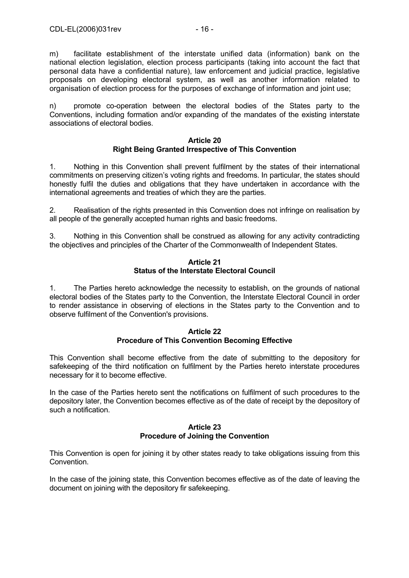m) facilitate establishment of the interstate unified data (information) bank on the national election legislation, election process participants (taking into account the fact that personal data have a confidential nature), law enforcement and judicial practice, legislative proposals on developing electoral system, as well as another information related to organisation of election process for the purposes of exchange of information and joint use;

n) promote co-operation between the electoral bodies of the States party to the Conventions, including formation and/or expanding of the mandates of the existing interstate associations of electoral bodies.

#### **Article 20 Right Being Granted Irrespective of This Convention**

1. Nothing in this Convention shall prevent fulfilment by the states of their international commitments on preserving citizen's voting rights and freedoms. In particular, the states should honestly fulfil the duties and obligations that they have undertaken in accordance with the international agreements and treaties of which they are the parties.

2. Realisation of the rights presented in this Convention does not infringe on realisation by all people of the generally accepted human rights and basic freedoms.

3. Nothing in this Convention shall be construed as allowing for any activity contradicting the objectives and principles of the Charter of the Commonwealth of Independent States.

#### **Article 21 Status of the Interstate Electoral Council**

1. The Parties hereto acknowledge the necessity to establish, on the grounds of national electoral bodies of the States party to the Convention, the Interstate Electoral Council in order to render assistance in observing of elections in the States party to the Convention and to observe fulfilment of the Convention's provisions.

#### **Article 22 Procedure of This Convention Becoming Effective**

This Convention shall become effective from the date of submitting to the depository for safekeeping of the third notification on fulfilment by the Parties hereto interstate procedures necessary for it to become effective.

In the case of the Parties hereto sent the notifications on fulfilment of such procedures to the depository later, the Convention becomes effective as of the date of receipt by the depository of such a notification.

#### **Article 23 Procedure of Joining the Convention**

This Convention is open for joining it by other states ready to take obligations issuing from this Convention.

In the case of the joining state, this Convention becomes effective as of the date of leaving the document on joining with the depository fir safekeeping.